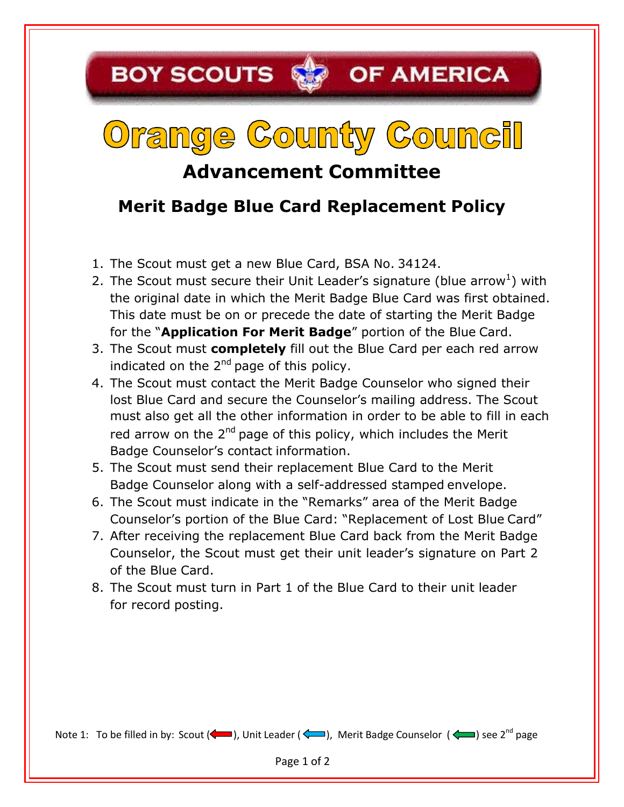## **BOY SCOUTS SEP OF AMERICA**

## Orange County Council

## **Advancement Committee**

## **Merit Badge Blue Card Replacement Policy**

- 1. The Scout must get a new Blue Card, BSA No. 34124.
- 2. The Scout must secure their Unit Leader's signature (blue arrow<sup>1</sup>) with the original date in which the Merit Badge Blue Card was first obtained. This date must be on or precede the date of starting the Merit Badge for the "**Application For Merit Badge**" portion of the Blue Card.
- 3. The Scout must **completely** fill out the Blue Card per each red arrow indicated on the  $2<sup>nd</sup>$  page of this policy.
- 4. The Scout must contact the Merit Badge Counselor who signed their lost Blue Card and secure the Counselor's mailing address. The Scout must also get all the other information in order to be able to fill in each red arrow on the 2<sup>nd</sup> page of this policy, which includes the Merit Badge Counselor's contact information.
- 5. The Scout must send their replacement Blue Card to the Merit Badge Counselor along with a self-addressed stamped envelope.
- 6. The Scout must indicate in the "Remarks" area of the Merit Badge Counselor's portion of the Blue Card: "Replacement of Lost Blue Card"
- 7. After receiving the replacement Blue Card back from the Merit Badge Counselor, the Scout must get their unit leader's signature on Part 2 of the Blue Card.
- 8. The Scout must turn in Part 1 of the Blue Card to their unit leader for record posting.

Note 1: To be filled in by: Scout (< ), Unit Leader (< ), Merit Badge Counselor (<  $\blacktriangleleft$ ) see 2<sup>nd</sup> page

Page 1 of 2